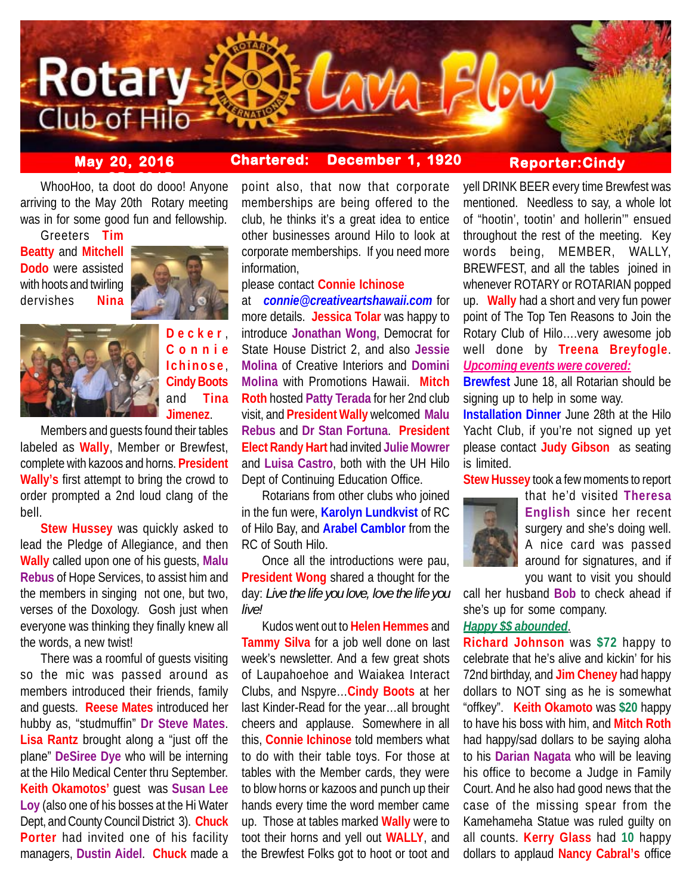

# **May 20, 2016 Chartered: December 1, 1920**

# **Reporter:Cindy**

whooHoo, ta doot do dooo! Anyone arriving to the May 20th Rotary meeting was in for some good fun and fellowship.

Greeters **Tim Beatty** and **Mitchell Dodo** were assisted with hoots and twirling dervishes **Nina**



**Decker** , **Connie Ichinose** , **Cindy Boots** and **Tina Jimenez**.

Members and guests found their tables labeled as **Wally**, Member or Brewfest, complete with kazoos and horns. **President Wally's** first attempt to bring the crowd to order prompted a 2nd loud clang of the bell.

**Stew Hussey** was quickly asked to lead the Pledge of Allegiance, and then **Wally** called upon one of his guests, **Malu Rebus** of Hope Services, to assist him and the members in singing not one, but two, verses of the Doxology. Gosh just when everyone was thinking they finally knew all the words, a new twist!

There was a roomful of guests visiting so the mic was passed around as members introduced their friends, family and guests. **Reese Mates** introduced her hubby as, "studmuffin" **Dr Steve Mates**. **Lisa Rantz** brought along a "just off the plane" **DeSiree Dye** who will be interning at the Hilo Medical Center thru September. **Keith Okamotos'** guest was **Susan Lee Loy** (also one of his bosses at the Hi Water Dept, and County Council District 3). **Chuck Porter** had invited one of his facility managers, **Dustin Aidel**. **Chuck** made a

point also, that now that corporate memberships are being offered to the club, he thinks it's a great idea to entice other businesses around Hilo to look at corporate memberships. If you need more information,

please contact **Connie Ichinose**

at *connie@creativeartshawaii.com* for more details. **Jessica Tolar** was happy to introduce **Jonathan Wong**, Democrat for State House District 2, and also **Jessie Molina** of Creative Interiors and **Domini Molina** with Promotions Hawaii. **Mitch Roth** hosted **Patty Terada** for her 2nd club visit, and **President Wally** welcomed **Malu Rebus** and **Dr Stan Fortuna**. **President Elect Randy Hart** had invited **Julie Mowrer** and **Luisa Castro**, both with the UH Hilo Dept of Continuing Education Office.

Rotarians from other clubs who joined in the fun were, **Karolyn Lundkvist** of RC of Hilo Bay, and **Arabel Camblor** from the RC of South Hilo.

Once all the introductions were pau, **President Wong** shared a thought for the day: *Live the life you love, love the life you live!*

Kudos went out to **Helen Hemmes** and **Tammy Silva** for a job well done on last week's newsletter. And a few great shots of Laupahoehoe and Waiakea Interact Clubs, and Nspyre…**Cindy Boots** at her last Kinder-Read for the year…all brought cheers and applause. Somewhere in all this, **Connie Ichinose** told members what to do with their table toys. For those at tables with the Member cards, they were to blow horns or kazoos and punch up their hands every time the word member came up. Those at tables marked **Wally** were to toot their horns and yell out **WALLY**, and the Brewfest Folks got to hoot or toot and

yell DRINK BEER every time Brewfest was mentioned. Needless to say, a whole lot of "hootin', tootin' and hollerin'" ensued throughout the rest of the meeting. Key words being, MEMBER, WALLY, BREWFEST, and all the tables joined in whenever ROTARY or ROTARIAN popped up. **Wally** had a short and very fun power point of The Top Ten Reasons to Join the Rotary Club of Hilo….very awesome job well done by **Treena Breyfogle**. *Upcoming events were covered:*

**Brewfest** June 18, all Rotarian should be signing up to help in some way.

**Installation Dinner** June 28th at the Hilo Yacht Club, if you're not signed up yet please contact **Judy Gibson** as seating is limited.

**Stew Hussey** took a few moments to report



that he'd visited **Theresa English** since her recent surgery and she's doing well. A nice card was passed around for signatures, and if you want to visit you should

call her husband **Bob** to check ahead if she's up for some company.

## *Happy \$\$ abounded*.

**Richard Johnson** was **\$72** happy to celebrate that he's alive and kickin' for his 72nd birthday, and **Jim Cheney** had happy dollars to NOT sing as he is somewhat "offkey". **Keith Okamoto** was **\$20** happy to have his boss with him, and **Mitch Roth** had happy/sad dollars to be saying aloha to his **Darian Nagata** who will be leaving his office to become a Judge in Family Court. And he also had good news that the case of the missing spear from the Kamehameha Statue was ruled guilty on all counts. **Kerry Glass** had **10** happy dollars to applaud **Nancy Cabral's** office